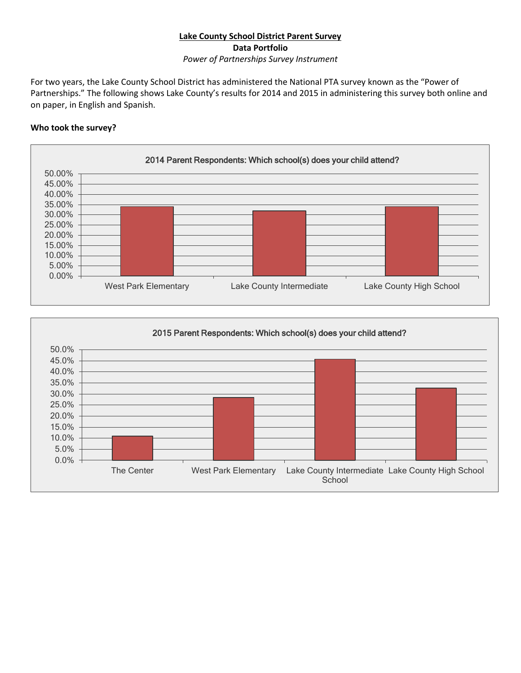## **Lake County School District Parent Survey Data Portfolio**

*Power of Partnerships Survey Instrument*

For two years, the Lake County School District has administered the National PTA survey known as the "Power of Partnerships." The following shows Lake County's results for 2014 and 2015 in administering this survey both online and on paper, in English and Spanish.

## **Who took the survey?**



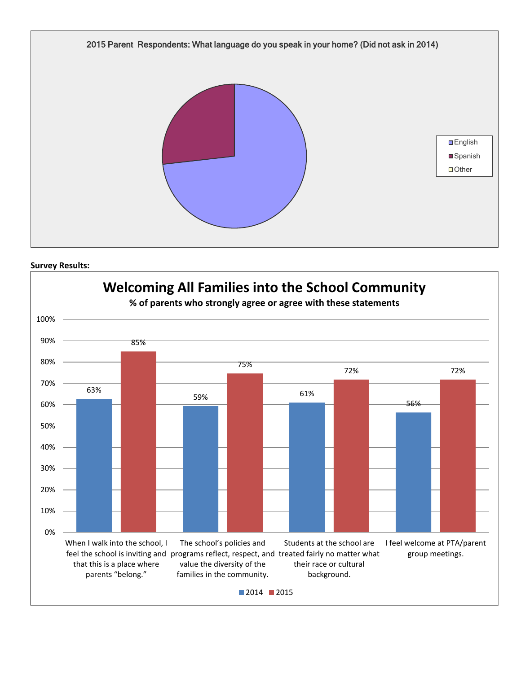



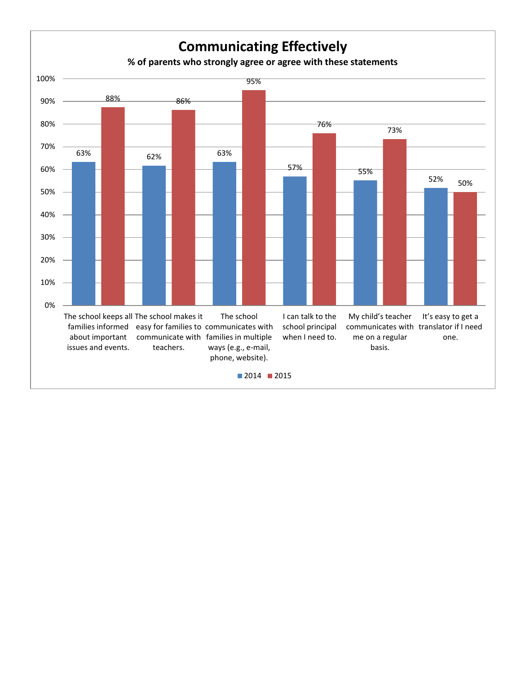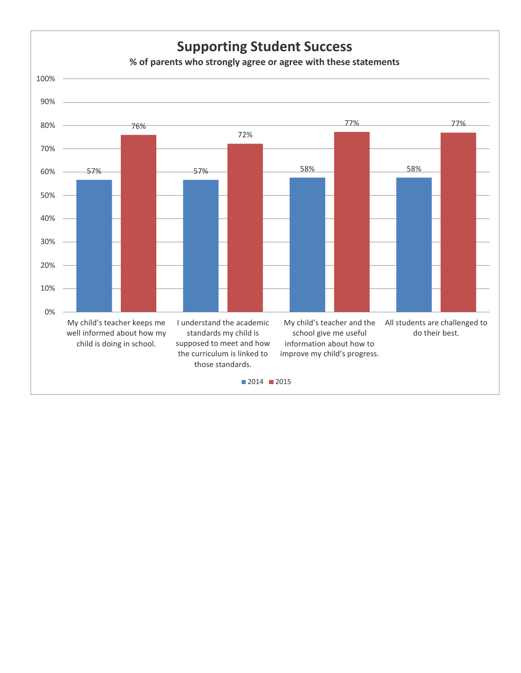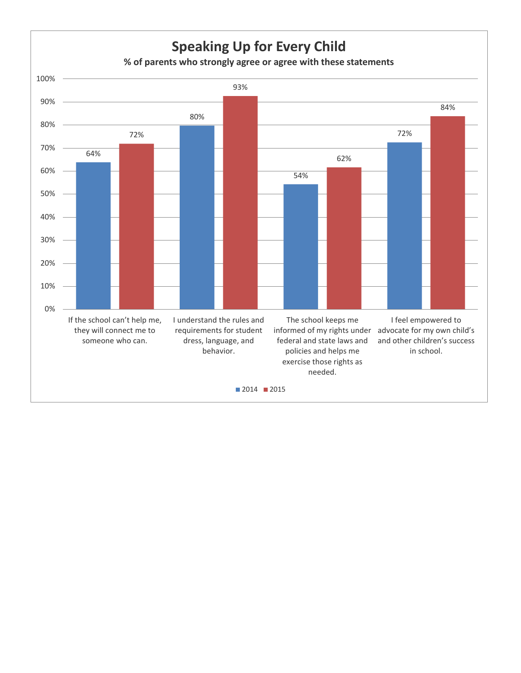